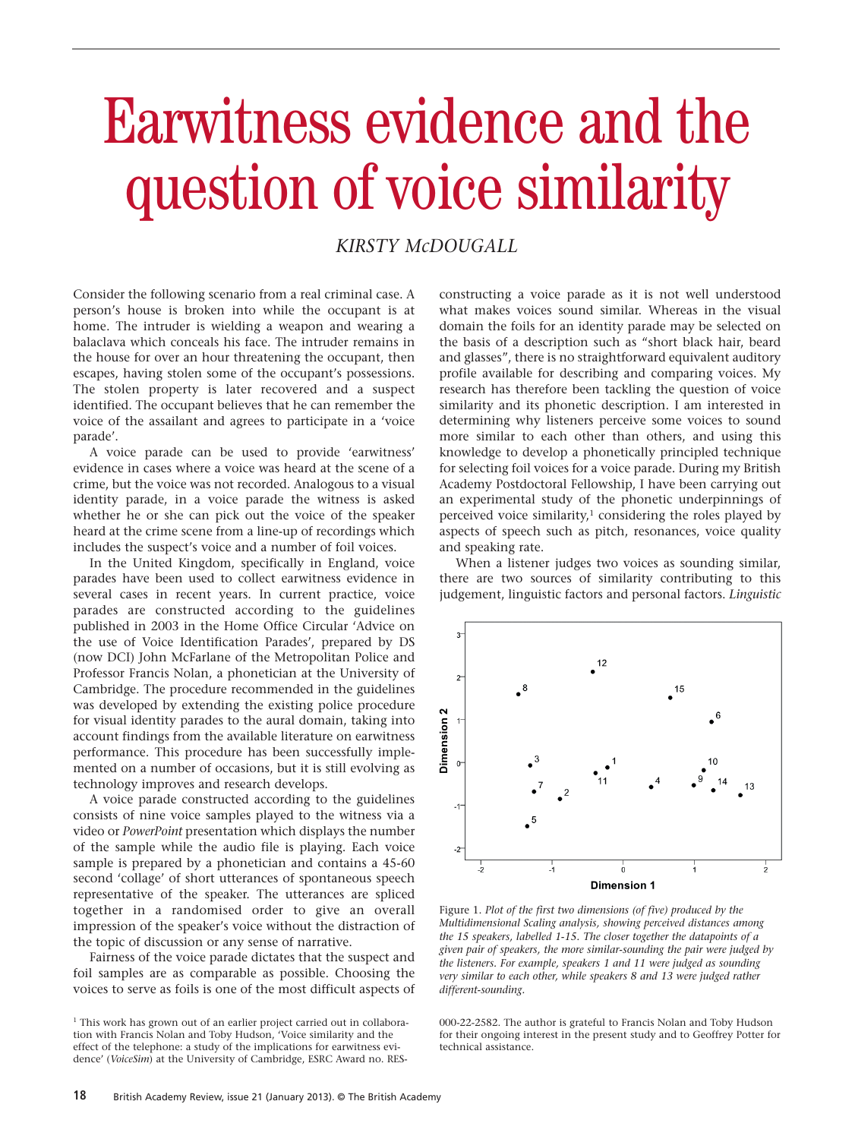# Earwitness evidence and the question of voice similarity

## *KIRSTY McDOUGALL*

Consider the following scenario from a real criminal case. A person's house is broken into while the occupant is at home. The intruder is wielding a weapon and wearing a balaclava which conceals his face. The intruder remains in the house for over an hour threatening the occupant, then escapes, having stolen some of the occupant's possessions. The stolen property is later recovered and a suspect identified. The occupant believes that he can remember the voice of the assailant and agrees to participate in a 'voice parade'.

A voice parade can be used to provide 'earwitness' evidence in cases where a voice was heard at the scene of a crime, but the voice was not recorded. Analogous to a visual identity parade, in a voice parade the witness is asked whether he or she can pick out the voice of the speaker heard at the crime scene from a line-up of recordings which includes the suspect's voice and a number of foil voices.

In the United Kingdom, specifically in England, voice parades have been used to collect earwitness evidence in several cases in recent years. In current practice, voice parades are constructed according to the guidelines published in 2003 in the Home Office Circular 'Advice on the use of Voice Identification Parades', prepared by DS (now DCI) John McFarlane of the Metropolitan Police and Professor Francis Nolan, a phonetician at the University of Cambridge. The procedure recommended in the guidelines was developed by extending the existing police procedure for visual identity parades to the aural domain, taking into account findings from the available literature on earwitness performance. This procedure has been successfully implemented on a number of occasions, but it is still evolving as technology improves and research develops.

A voice parade constructed according to the guidelines consists of nine voice samples played to the witness via a video or *PowerPoint* presentation which displays the number of the sample while the audio file is playing. Each voice sample is prepared by a phonetician and contains a 45-60 second 'collage' of short utterances of spontaneous speech representative of the speaker. The utterances are spliced together in a randomised order to give an overall impression of the speaker's voice without the distraction of the topic of discussion or any sense of narrative.

Fairness of the voice parade dictates that the suspect and foil samples are as comparable as possible. Choosing the voices to serve as foils is one of the most difficult aspects of constructing a voice parade as it is not well understood what makes voices sound similar. Whereas in the visual domain the foils for an identity parade may be selected on the basis of a description such as "short black hair, beard and glasses", there is no straightforward equivalent auditory profile available for describing and comparing voices. My research has therefore been tackling the question of voice similarity and its phonetic description. I am interested in determining why listeners perceive some voices to sound more similar to each other than others, and using this knowledge to develop a phonetically principled technique for selecting foil voices for a voice parade. During my British Academy Postdoctoral Fellowship, I have been carrying out an experimental study of the phonetic underpinnings of perceived voice similarity, $1$  considering the roles played by aspects of speech such as pitch, resonances, voice quality and speaking rate.

When a listener judges two voices as sounding similar, there are two sources of similarity contributing to this judgement, linguistic factors and personal factors. *Linguistic*



Figure 1. *Plot of the first two dimensions (of five) produced by the Multidimensional Scaling analysis, showing perceived distances among the 15 speakers, labelled 1-15. The closer together the datapoints of a given pair of speakers, the more similar-sounding the pair were judged by the listeners. For example, speakers 1 and 11 were judged as sounding very similar to each other, while speakers 8 and 13 were judged rather different-sounding.*

000-22-2582. The author is grateful to Francis Nolan and Toby Hudson for their ongoing interest in the present study and to Geoffrey Potter for technical assistance.

<sup>&</sup>lt;sup>1</sup> This work has grown out of an earlier project carried out in collaboration with Francis Nolan and Toby Hudson, 'Voice similarity and the effect of the telephone: a study of the implications for earwitness evidence' (*VoiceSim*) at the University of Cambridge, ESRC Award no. RES-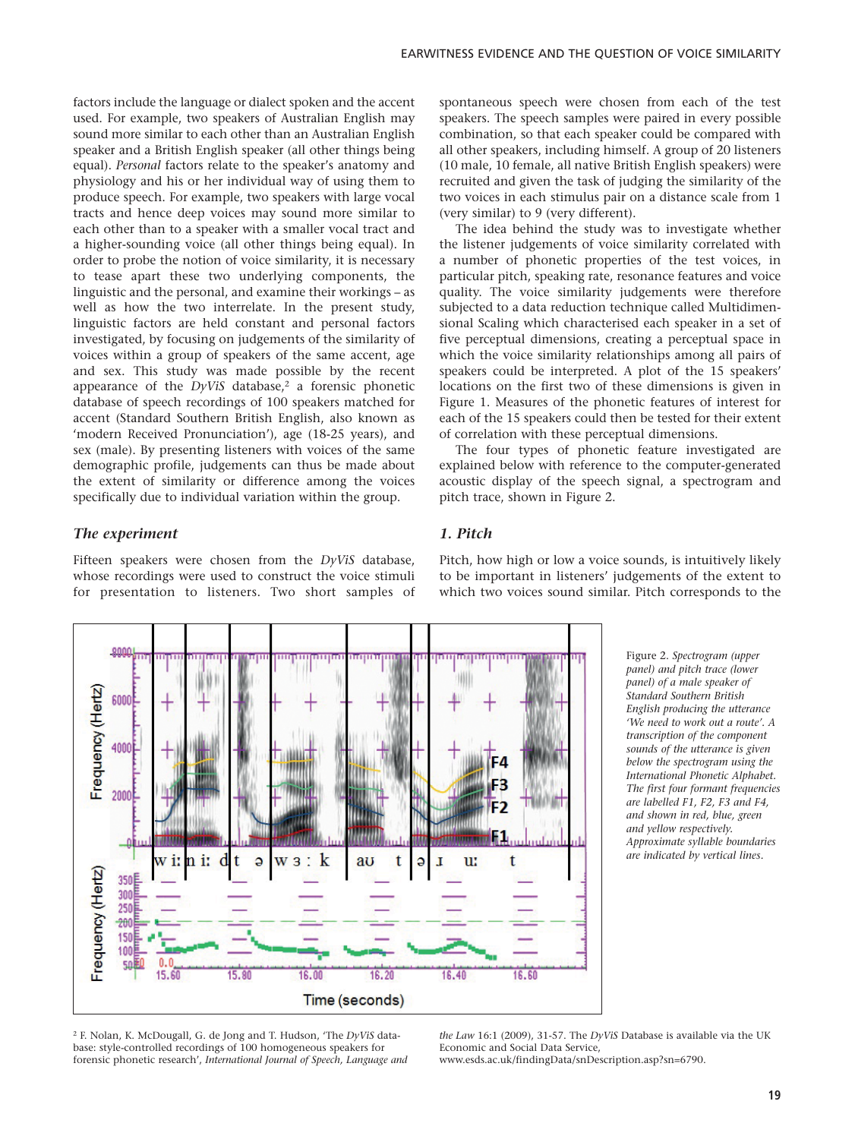factors include the language or dialect spoken and the accent used. For example, two speakers of Australian English may sound more similar to each other than an Australian English speaker and a British English speaker (all other things being equal). *Personal* factors relate to the speaker's anatomy and physiology and his or her individual way of using them to produce speech. For example, two speakers with large vocal tracts and hence deep voices may sound more similar to each other than to a speaker with a smaller vocal tract and a higher-sounding voice (all other things being equal). In order to probe the notion of voice similarity, it is necessary to tease apart these two underlying components, the linguistic and the personal, and examine their workings – as well as how the two interrelate. In the present study, linguistic factors are held constant and personal factors investigated, by focusing on judgements of the similarity of voices within a group of speakers of the same accent, age and sex. This study was made possible by the recent appearance of the  $DyViS$  database,<sup>2</sup> a forensic phonetic database of speech recordings of 100 speakers matched for accent (Standard Southern British English, also known as 'modern Received Pronunciation'), age (18-25 years), and sex (male). By presenting listeners with voices of the same demographic profile, judgements can thus be made about the extent of similarity or difference among the voices specifically due to individual variation within the group.

#### *The experiment*

Fifteen speakers were chosen from the *DyViS* database, whose recordings were used to construct the voice stimuli for presentation to listeners. Two short samples of



The idea behind the study was to investigate whether the listener judgements of voice similarity correlated with a number of phonetic properties of the test voices, in particular pitch, speaking rate, resonance features and voice quality. The voice similarity judgements were therefore subjected to a data reduction technique called Multidimensional Scaling which characterised each speaker in a set of five perceptual dimensions, creating a perceptual space in which the voice similarity relationships among all pairs of speakers could be interpreted. A plot of the 15 speakers' locations on the first two of these dimensions is given in Figure 1. Measures of the phonetic features of interest for each of the 15 speakers could then be tested for their extent of correlation with these perceptual dimensions.

The four types of phonetic feature investigated are explained below with reference to the computer-generated acoustic display of the speech signal, a spectrogram and pitch trace, shown in Figure 2.

### *1. Pitch*



Pitch, how high or low a voice sounds, is intuitively likely to be important in listeners' judgements of the extent to which two voices sound similar. Pitch corresponds to the

> Figure 2. *Spectrogram (upper panel) and pitch trace (lower panel) of a male speaker of Standard Southern British English producing the utterance 'We need to work out a route'. A transcription of the component sounds of the utterance is given below the spectrogram using the International Phonetic Alphabet. The first four formant frequencies are labelled F1, F2, F3 and F4, and shown in red, blue, green and yellow respectively. Approximate syllable boundaries are indicated by vertical lines.*

<sup>2</sup> F. Nolan, K. McDougall, G. de Jong and T. Hudson, 'The *DyViS* database: style-controlled recordings of 100 homogeneous speakers for forensic phonetic research', *International Journal of Speech, Language and* *the Law* 16:1 (2009), 31-57. The *DyViS* Database is available via the UK Economic and Social Data Service,

www.esds.ac.uk/findingData/snDescription.asp?sn=6790.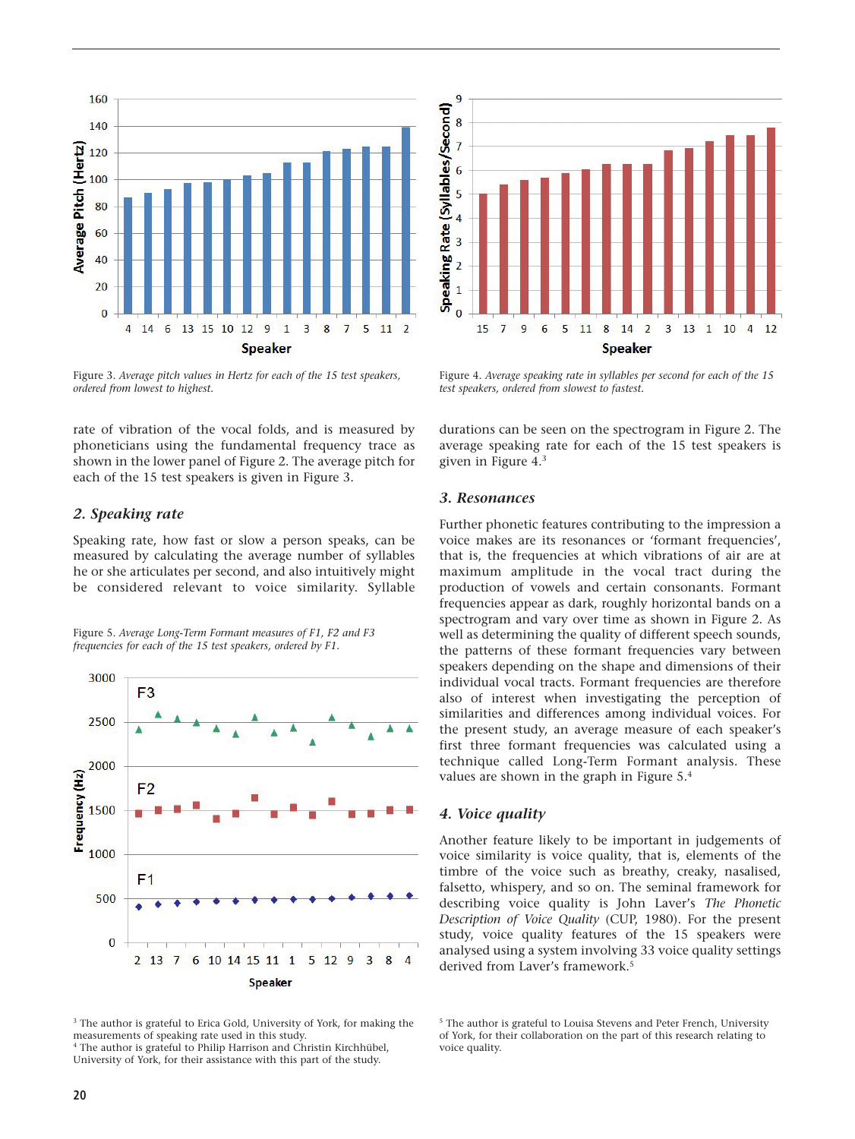

Figure 3. *Average pitch values in Hertz for each of the 15 test speakers, ordered from lowest to highest.*

rate of vibration of the vocal folds, and is measured by phoneticians using the fundamental frequency trace as shown in the lower panel of Figure 2. The average pitch for each of the 15 test speakers is given in Figure 3.

#### *2. Speaking rate*

Speaking rate, how fast or slow a person speaks, can be measured by calculating the average number of syllables he or she articulates per second, and also intuitively might be considered relevant to voice similarity. Syllable

Figure 5. *Average Long-Term Formant measures of F1, F2 and F3 frequencies for each of the 15 test speakers, ordered by F1.*



<sup>3</sup> The author is grateful to Erica Gold, University of York, for making the measurements of speaking rate used in this study. <sup>4</sup> The author is grateful to Philip Harrison and Christin Kirchhübel,

University of York, for their assistance with this part of the study.



Figure 4. *Average speaking rate in syllables per second for each of the 15 test speakers, ordered from slowest to fastest.*

durations can be seen on the spectrogram in Figure 2. The average speaking rate for each of the 15 test speakers is given in Figure 4.3

#### *3. Resonances*

Further phonetic features contributing to the impression a voice makes are its resonances or 'formant frequencies', that is, the frequencies at which vibrations of air are at maximum amplitude in the vocal tract during the production of vowels and certain consonants. Formant frequencies appear as dark, roughly horizontal bands on a spectrogram and vary over time as shown in Figure 2. As well as determining the quality of different speech sounds, the patterns of these formant frequencies vary between speakers depending on the shape and dimensions of their individual vocal tracts. Formant frequencies are therefore also of interest when investigating the perception of similarities and differences among individual voices. For the present study, an average measure of each speaker's first three formant frequencies was calculated using a technique called Long-Term Formant analysis. These values are shown in the graph in Figure 5.4

#### *4. Voice quality*

Another feature likely to be important in judgements of voice similarity is voice quality, that is, elements of the timbre of the voice such as breathy, creaky, nasalised, falsetto, whispery, and so on. The seminal framework for describing voice quality is John Laver's *The Phonetic Description of Voice Quality* (CUP, 1980). For the present study, voice quality features of the 15 speakers were analysed using a system involving 33 voice quality settings derived from Laver's framework.<sup>5</sup>

<sup>&</sup>lt;sup>5</sup> The author is grateful to Louisa Stevens and Peter French, University of York, for their collaboration on the part of this research relating to voice quality.